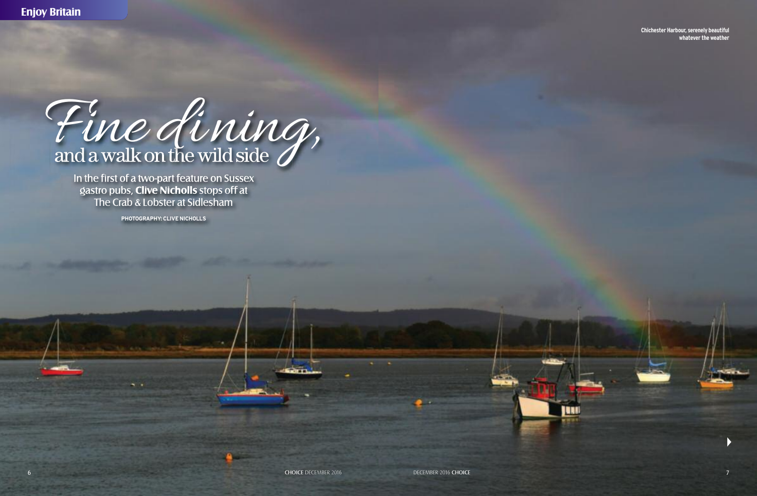Fine dining,

In the first of a two-part feature on Sussex gastro pubs, **Clive Nicholls** stops off at The Crab & Lobster at Sidlesham

**PHOTOGRAPHY: CLIVE NICHOLLS**

**Chichester Harbour, serenely beautiful whateverthe weather**

 $\blacktriangleright$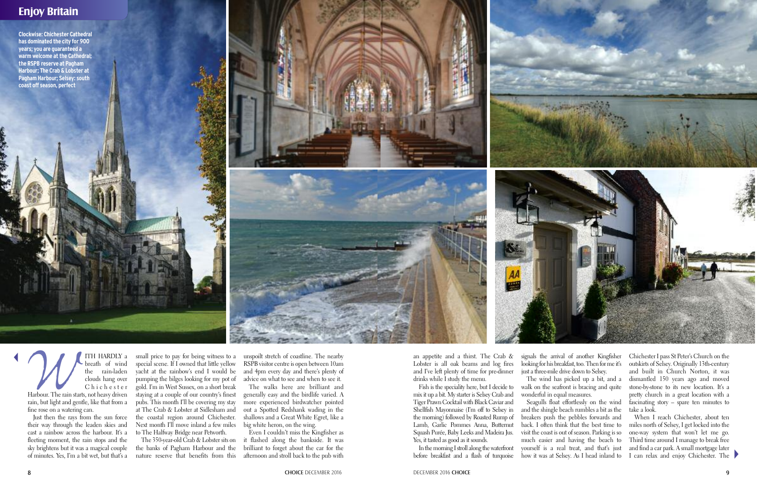## **Enjoy Britain**

t



**PERENT SERVIET AND ARABLEM**<br>
the rain-laden<br>
clouds hang over<br>
C h i c h e s t e r<br>
Harbour. The rain starts, not heavy driven<br>
rain, but light and gentle, like that from a breath of wind the rain-laden clouds hang over Chichester Harbour. The rain starts, not heavy driven fine rose on a watering can.

Just then the rays from the sun force their way through the leaden skies and cast a rainbow across the harbour. It's a fleeting moment, the rain stops and the sky brightens but it was a magical couple of minutes. Yes, I'm a bit wet, but that's a

In the morning I stroll along the waterfront before breakfast and a flash of turquoise

an appetite and a thirst. The Crab & Lobster is all oak beams and log fires and I've left plenty of time for pre-dinner drinks while I study the menu.

Fish is the speciality here, but I decide to mix it up a bit. My starter is Selsey Crab and Tiger Prawn Cocktail with Black Caviar and Shellfish Mayonnaise (I'm off to Selsey in the morning) followed by Roasted Rump of Lamb, Garlic Pommes Anna, Butternut Squash Purée, Baby Leeks and Madeira Jus. Yes, it tasted as good as it sounds.

When I reach Chichester, about ten miles north of Selsey, I get locked into the one-way system that won't let me go. Third time around I manage to break free and find a car park. A small mortgage later I can relax and enjoy Chichester. The

signals the arrival of another Kingfisher looking for his breakfast, too. Then for me it's just a three-mile drive down to Selsey.

The wind has picked up a bit, and a walk on the seafront is bracing and quite wonderful in equal measures.

Seagulls float effortlessly on the wind and the shingle beach rumbles a bit as the breakers push the pebbles forwards and back. I often think that the best time to visit the coast is out of season. Parking is so much easier and having the beach to yourself is a real treat, and that's just how it was at Selsey. As I head inland to Chichester I pass St Peter's Church on the outskirts of Selsey. Originally 13th-century and built in Church Norton, it was dismantled 150 years ago and moved stone-by-stone to its new location. It's a pretty church in a great location with a fascinating story – spare ten minutes to take a look.





small price to pay for being witness to a unspoilt stretch of coastline. The nearby special scene. If I owned that little yellow yacht at the rainbow's end I would be pumping the bilges looking for my pot of gold. I'm in West Sussex, on a short break staying at a couple of our country's finest pubs. This month I'll be covering my stay at The Crab & Lobster at Sidlesham and the coastal region around Chichester. Next month I'll move inland a few miles to The Halfway Bridge near Petworth.

The 350-year-old Crab & Lobster sits on the banks of Pagham Harbour and the nature reserve that benefits from this RSPB visitor centre is open between 10am and 4pm every day and there's plenty of advice on what to see and when to see it.

The walks here are brilliant and generally easy and the birdlife varied. A more experienced birdwatcher pointed out a Spotted Redshank wading in the shallows and a Great White Egret, like a big white heron, on the wing.

Even I couldn't miss the Kingfisher as it flashed along the bankside. It was brilliant to forget about the car for the afternoon and stroll back to the pub with